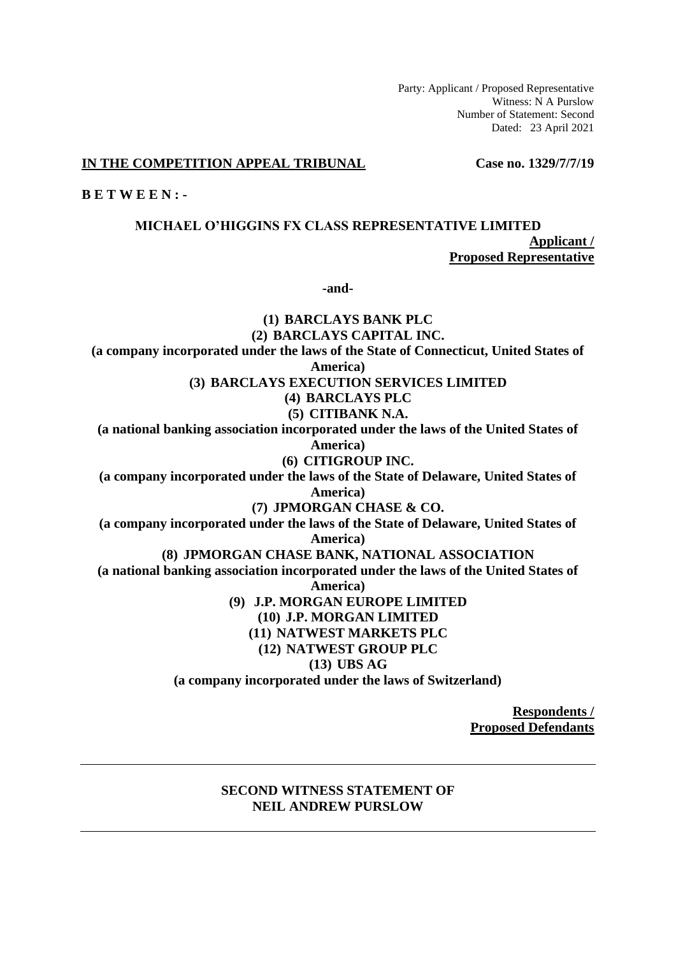Party: Applicant / Proposed Representative Witness: N A Purslow Number of Statement: Second Dated: 23 April 2021

### **IN THE COMPETITION APPEAL TRIBUNAL Case no. 1329/7/7/19**

**B E T W E E N : -**

**MICHAEL O'HIGGINS FX CLASS REPRESENTATIVE LIMITED Applicant / Proposed Representative**

**-and-**

**(1) BARCLAYS BANK PLC (2) BARCLAYS CAPITAL INC. (a company incorporated under the laws of the State of Connecticut, United States of America) (3) BARCLAYS EXECUTION SERVICES LIMITED (4) BARCLAYS PLC (5) CITIBANK N.A. (a national banking association incorporated under the laws of the United States of America) (6) CITIGROUP INC. (a company incorporated under the laws of the State of Delaware, United States of America) (7) JPMORGAN CHASE & CO. (a company incorporated under the laws of the State of Delaware, United States of America) (8) JPMORGAN CHASE BANK, NATIONAL ASSOCIATION (a national banking association incorporated under the laws of the United States of America) (9) J.P. MORGAN EUROPE LIMITED (10) J.P. MORGAN LIMITED (11) NATWEST MARKETS PLC (12) NATWEST GROUP PLC (13) UBS AG (a company incorporated under the laws of Switzerland)**

> **Respondents / Proposed Defendants**

## **SECOND WITNESS STATEMENT OF NEIL ANDREW PURSLOW**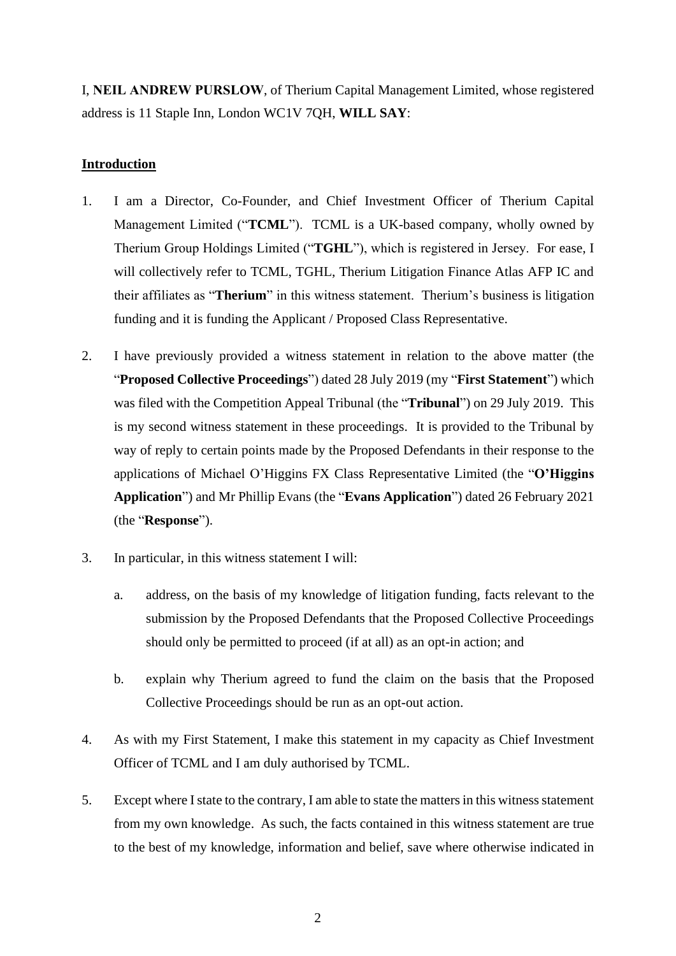I, **NEIL ANDREW PURSLOW**, of Therium Capital Management Limited, whose registered address is 11 Staple Inn, London WC1V 7QH, **WILL SAY**:

# **Introduction**

- 1. I am a Director, Co-Founder, and Chief Investment Officer of Therium Capital Management Limited ("**TCML**"). TCML is a UK-based company, wholly owned by Therium Group Holdings Limited ("**TGHL**"), which is registered in Jersey. For ease, I will collectively refer to TCML, TGHL, Therium Litigation Finance Atlas AFP IC and their affiliates as "**Therium**" in this witness statement. Therium's business is litigation funding and it is funding the Applicant / Proposed Class Representative.
- 2. I have previously provided a witness statement in relation to the above matter (the "**Proposed Collective Proceedings**") dated 28 July 2019 (my "**First Statement**") which was filed with the Competition Appeal Tribunal (the "**Tribunal**") on 29 July 2019. This is my second witness statement in these proceedings. It is provided to the Tribunal by way of reply to certain points made by the Proposed Defendants in their response to the applications of Michael O'Higgins FX Class Representative Limited (the "**O'Higgins Application**") and Mr Phillip Evans (the "**Evans Application**") dated 26 February 2021 (the "**Response**").
- 3. In particular, in this witness statement I will:
	- a. address, on the basis of my knowledge of litigation funding, facts relevant to the submission by the Proposed Defendants that the Proposed Collective Proceedings should only be permitted to proceed (if at all) as an opt-in action; and
	- b. explain why Therium agreed to fund the claim on the basis that the Proposed Collective Proceedings should be run as an opt-out action.
- 4. As with my First Statement, I make this statement in my capacity as Chief Investment Officer of TCML and I am duly authorised by TCML.
- 5. Except where I state to the contrary, I am able to state the matters in this witness statement from my own knowledge. As such, the facts contained in this witness statement are true to the best of my knowledge, information and belief, save where otherwise indicated in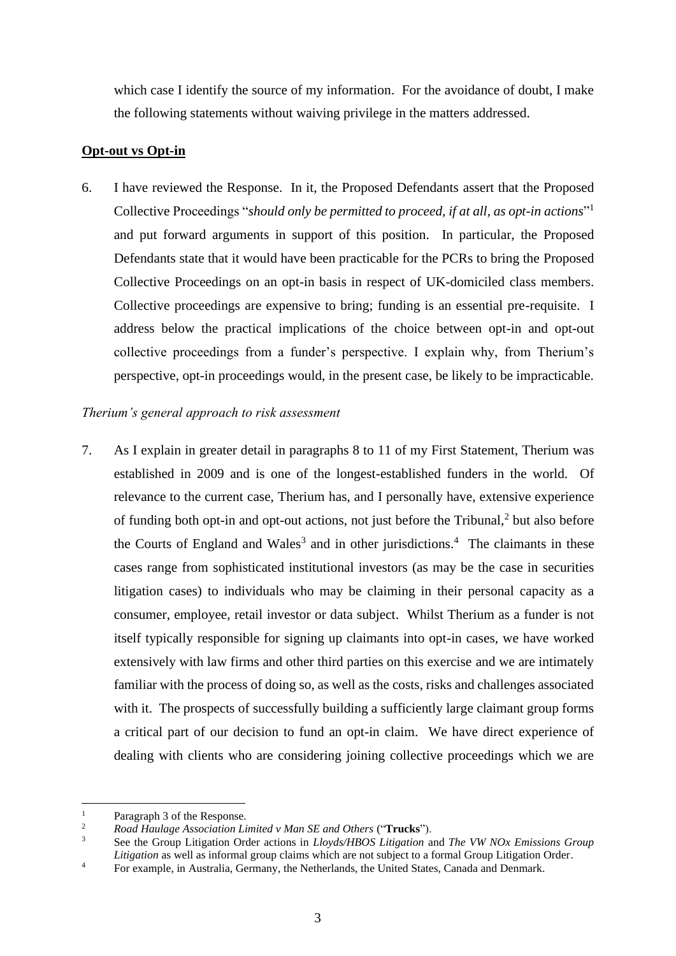which case I identify the source of my information. For the avoidance of doubt, I make the following statements without waiving privilege in the matters addressed.

## **Opt-out vs Opt-in**

6. I have reviewed the Response. In it, the Proposed Defendants assert that the Proposed Collective Proceedings "*should only be permitted to proceed, if at all, as opt-in actions*" 1 and put forward arguments in support of this position. In particular, the Proposed Defendants state that it would have been practicable for the PCRs to bring the Proposed Collective Proceedings on an opt-in basis in respect of UK-domiciled class members. Collective proceedings are expensive to bring; funding is an essential pre-requisite. I address below the practical implications of the choice between opt-in and opt-out collective proceedings from a funder's perspective. I explain why, from Therium's perspective, opt-in proceedings would, in the present case, be likely to be impracticable.

## *Therium's general approach to risk assessment*

7. As I explain in greater detail in paragraphs 8 to 11 of my First Statement, Therium was established in 2009 and is one of the longest-established funders in the world. Of relevance to the current case, Therium has, and I personally have, extensive experience of funding both opt-in and opt-out actions, not just before the Tribunal, $<sup>2</sup>$  but also before</sup> the Courts of England and Wales<sup>3</sup> and in other jurisdictions.<sup>4</sup> The claimants in these cases range from sophisticated institutional investors (as may be the case in securities litigation cases) to individuals who may be claiming in their personal capacity as a consumer, employee, retail investor or data subject. Whilst Therium as a funder is not itself typically responsible for signing up claimants into opt-in cases, we have worked extensively with law firms and other third parties on this exercise and we are intimately familiar with the process of doing so, as well as the costs, risks and challenges associated with it. The prospects of successfully building a sufficiently large claimant group forms a critical part of our decision to fund an opt-in claim. We have direct experience of dealing with clients who are considering joining collective proceedings which we are

<sup>&</sup>lt;sup>1</sup> Paragraph 3 of the Response.<br><sup>2</sup> Pood Haylage Association I:

<sup>2</sup> *Road Haulage Association Limited v Man SE and Others* ("**Trucks**").

<sup>3</sup> See the Group Litigation Order actions in *Lloyds/HBOS Litigation* and *The VW NOx Emissions Group Litigation* as well as informal group claims which are not subject to a formal Group Litigation Order.

<sup>&</sup>lt;sup>4</sup> For example, in Australia, Germany, the Netherlands, the United States, Canada and Denmark.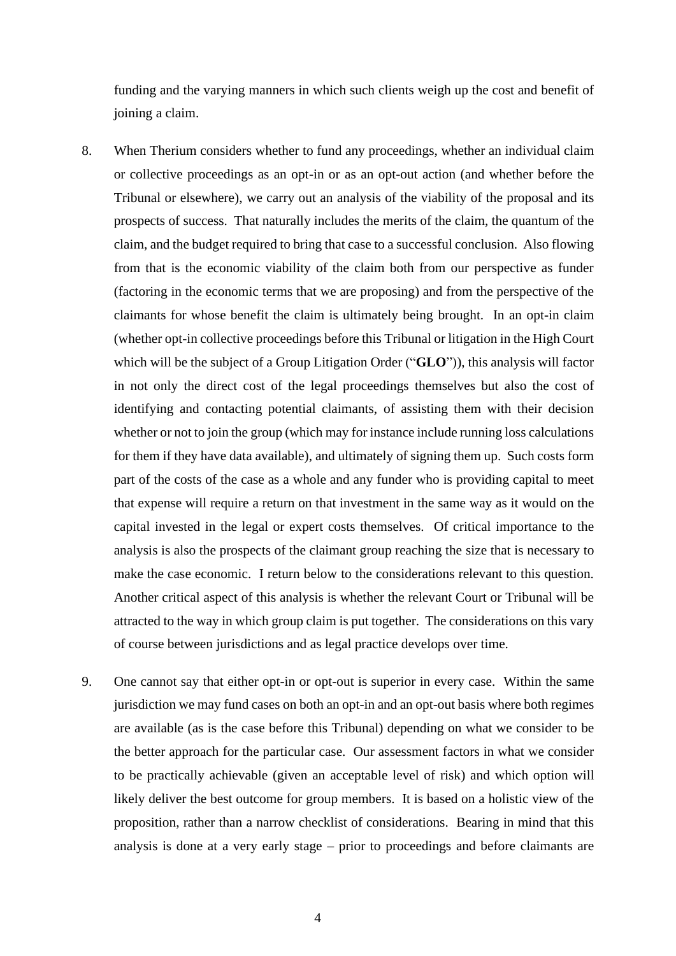funding and the varying manners in which such clients weigh up the cost and benefit of joining a claim.

- 8. When Therium considers whether to fund any proceedings, whether an individual claim or collective proceedings as an opt-in or as an opt-out action (and whether before the Tribunal or elsewhere), we carry out an analysis of the viability of the proposal and its prospects of success. That naturally includes the merits of the claim, the quantum of the claim, and the budget required to bring that case to a successful conclusion. Also flowing from that is the economic viability of the claim both from our perspective as funder (factoring in the economic terms that we are proposing) and from the perspective of the claimants for whose benefit the claim is ultimately being brought. In an opt-in claim (whether opt-in collective proceedings before this Tribunal or litigation in the High Court which will be the subject of a Group Litigation Order ("**GLO**")), this analysis will factor in not only the direct cost of the legal proceedings themselves but also the cost of identifying and contacting potential claimants, of assisting them with their decision whether or not to join the group (which may for instance include running loss calculations for them if they have data available), and ultimately of signing them up. Such costs form part of the costs of the case as a whole and any funder who is providing capital to meet that expense will require a return on that investment in the same way as it would on the capital invested in the legal or expert costs themselves. Of critical importance to the analysis is also the prospects of the claimant group reaching the size that is necessary to make the case economic. I return below to the considerations relevant to this question. Another critical aspect of this analysis is whether the relevant Court or Tribunal will be attracted to the way in which group claim is put together. The considerations on this vary of course between jurisdictions and as legal practice develops over time.
- 9. One cannot say that either opt-in or opt-out is superior in every case. Within the same jurisdiction we may fund cases on both an opt-in and an opt-out basis where both regimes are available (as is the case before this Tribunal) depending on what we consider to be the better approach for the particular case. Our assessment factors in what we consider to be practically achievable (given an acceptable level of risk) and which option will likely deliver the best outcome for group members. It is based on a holistic view of the proposition, rather than a narrow checklist of considerations. Bearing in mind that this analysis is done at a very early stage – prior to proceedings and before claimants are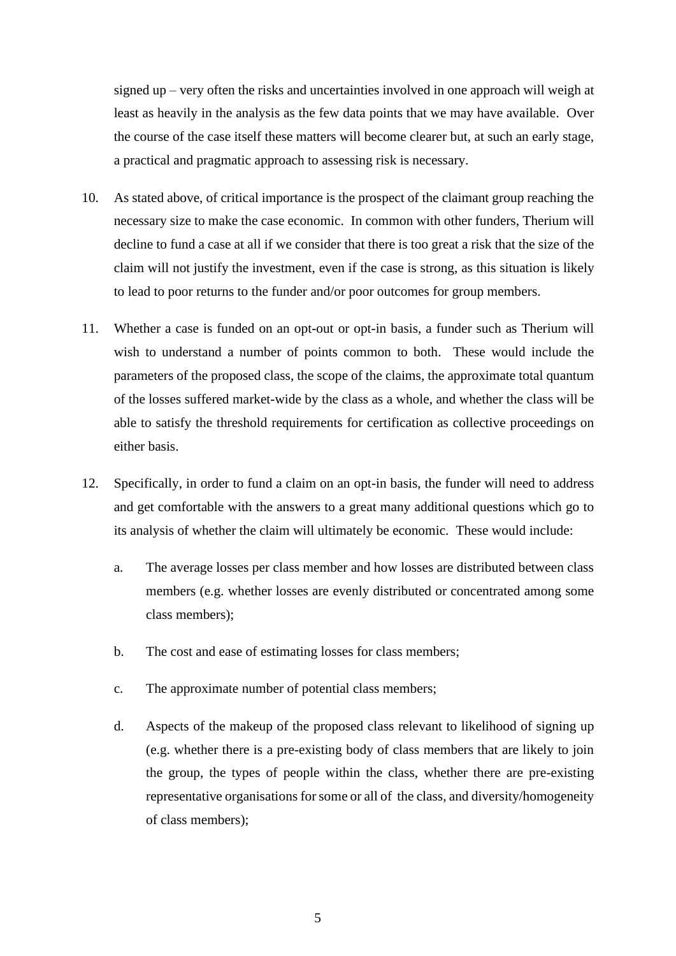signed up – very often the risks and uncertainties involved in one approach will weigh at least as heavily in the analysis as the few data points that we may have available. Over the course of the case itself these matters will become clearer but, at such an early stage, a practical and pragmatic approach to assessing risk is necessary.

- 10. As stated above, of critical importance is the prospect of the claimant group reaching the necessary size to make the case economic. In common with other funders, Therium will decline to fund a case at all if we consider that there is too great a risk that the size of the claim will not justify the investment, even if the case is strong, as this situation is likely to lead to poor returns to the funder and/or poor outcomes for group members.
- 11. Whether a case is funded on an opt-out or opt-in basis, a funder such as Therium will wish to understand a number of points common to both. These would include the parameters of the proposed class, the scope of the claims, the approximate total quantum of the losses suffered market-wide by the class as a whole, and whether the class will be able to satisfy the threshold requirements for certification as collective proceedings on either basis.
- 12. Specifically, in order to fund a claim on an opt-in basis, the funder will need to address and get comfortable with the answers to a great many additional questions which go to its analysis of whether the claim will ultimately be economic. These would include:
	- a. The average losses per class member and how losses are distributed between class members (e.g. whether losses are evenly distributed or concentrated among some class members);
	- b. The cost and ease of estimating losses for class members;
	- c. The approximate number of potential class members;
	- d. Aspects of the makeup of the proposed class relevant to likelihood of signing up (e.g. whether there is a pre-existing body of class members that are likely to join the group, the types of people within the class, whether there are pre-existing representative organisations for some or all of the class, and diversity/homogeneity of class members);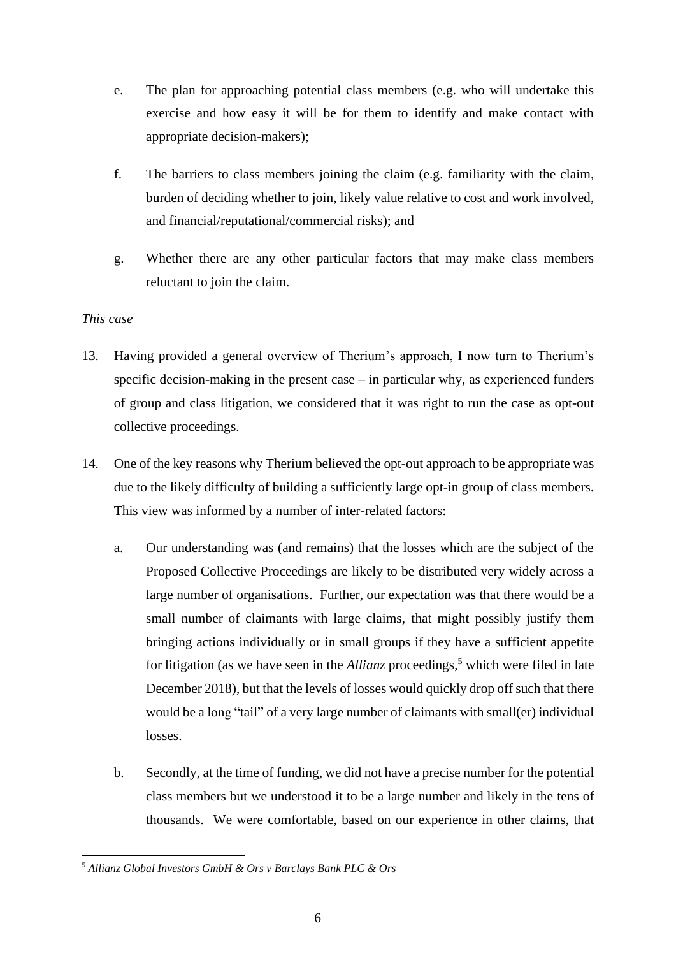- e. The plan for approaching potential class members (e.g. who will undertake this exercise and how easy it will be for them to identify and make contact with appropriate decision-makers);
- f. The barriers to class members joining the claim (e.g. familiarity with the claim, burden of deciding whether to join, likely value relative to cost and work involved, and financial/reputational/commercial risks); and
- g. Whether there are any other particular factors that may make class members reluctant to join the claim.

## *This case*

- 13. Having provided a general overview of Therium's approach, I now turn to Therium's specific decision-making in the present case – in particular why, as experienced funders of group and class litigation, we considered that it was right to run the case as opt-out collective proceedings.
- 14. One of the key reasons why Therium believed the opt-out approach to be appropriate was due to the likely difficulty of building a sufficiently large opt-in group of class members. This view was informed by a number of inter-related factors:
	- a. Our understanding was (and remains) that the losses which are the subject of the Proposed Collective Proceedings are likely to be distributed very widely across a large number of organisations. Further, our expectation was that there would be a small number of claimants with large claims, that might possibly justify them bringing actions individually or in small groups if they have a sufficient appetite for litigation (as we have seen in the *Allianz* proceedings,<sup>5</sup> which were filed in late December 2018), but that the levels of losses would quickly drop off such that there would be a long "tail" of a very large number of claimants with small(er) individual losses.
	- b. Secondly, at the time of funding, we did not have a precise number for the potential class members but we understood it to be a large number and likely in the tens of thousands. We were comfortable, based on our experience in other claims, that

<sup>5</sup> *Allianz Global Investors GmbH & Ors v Barclays Bank PLC & Ors*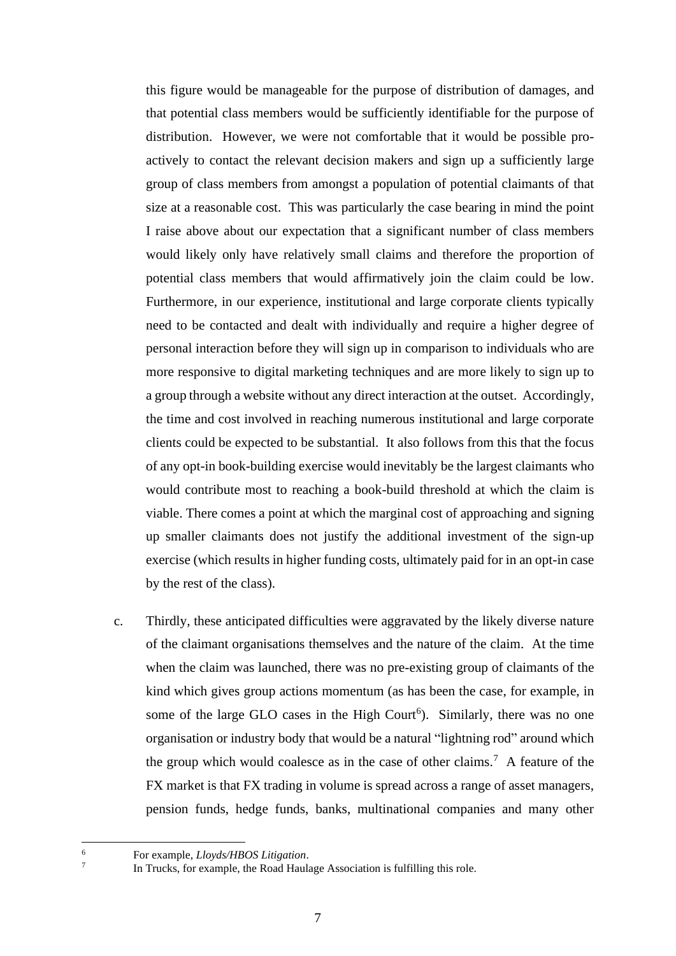this figure would be manageable for the purpose of distribution of damages, and that potential class members would be sufficiently identifiable for the purpose of distribution. However, we were not comfortable that it would be possible proactively to contact the relevant decision makers and sign up a sufficiently large group of class members from amongst a population of potential claimants of that size at a reasonable cost. This was particularly the case bearing in mind the point I raise above about our expectation that a significant number of class members would likely only have relatively small claims and therefore the proportion of potential class members that would affirmatively join the claim could be low. Furthermore, in our experience, institutional and large corporate clients typically need to be contacted and dealt with individually and require a higher degree of personal interaction before they will sign up in comparison to individuals who are more responsive to digital marketing techniques and are more likely to sign up to a group through a website without any direct interaction at the outset. Accordingly, the time and cost involved in reaching numerous institutional and large corporate clients could be expected to be substantial. It also follows from this that the focus of any opt-in book-building exercise would inevitably be the largest claimants who would contribute most to reaching a book-build threshold at which the claim is viable. There comes a point at which the marginal cost of approaching and signing up smaller claimants does not justify the additional investment of the sign-up exercise (which results in higher funding costs, ultimately paid for in an opt-in case by the rest of the class).

c. Thirdly, these anticipated difficulties were aggravated by the likely diverse nature of the claimant organisations themselves and the nature of the claim. At the time when the claim was launched, there was no pre-existing group of claimants of the kind which gives group actions momentum (as has been the case, for example, in some of the large GLO cases in the High Court<sup>6</sup>). Similarly, there was no one organisation or industry body that would be a natural "lightning rod" around which the group which would coalesce as in the case of other claims.<sup>7</sup> A feature of the FX market is that FX trading in volume is spread across a range of asset managers, pension funds, hedge funds, banks, multinational companies and many other

<sup>6</sup> For example, *Lloyds/HBOS Litigation*. 7

In Trucks, for example, the Road Haulage Association is fulfilling this role.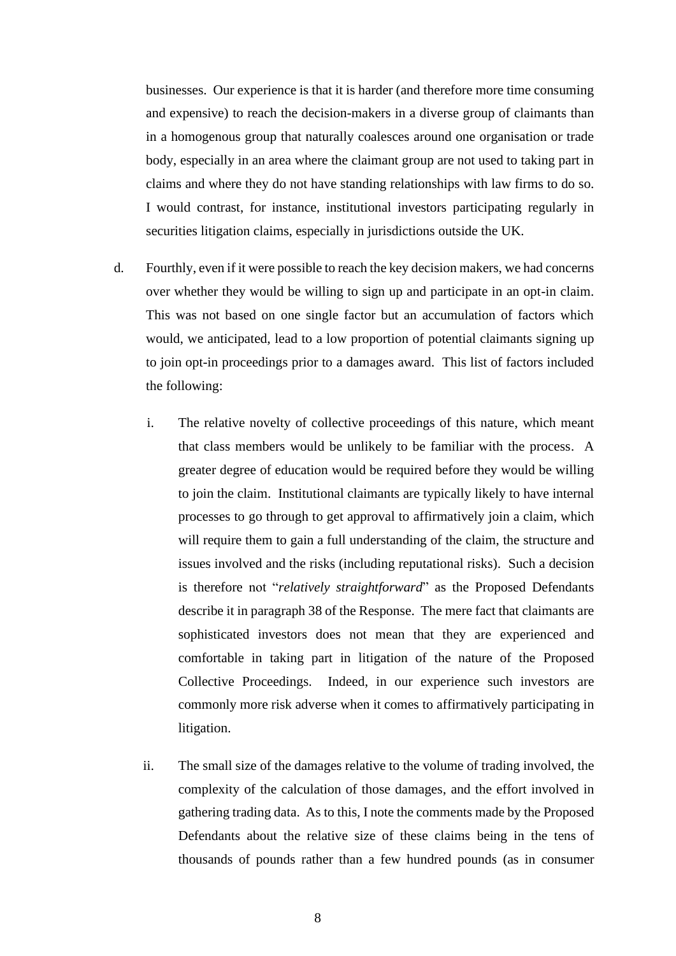businesses. Our experience is that it is harder (and therefore more time consuming and expensive) to reach the decision-makers in a diverse group of claimants than in a homogenous group that naturally coalesces around one organisation or trade body, especially in an area where the claimant group are not used to taking part in claims and where they do not have standing relationships with law firms to do so. I would contrast, for instance, institutional investors participating regularly in securities litigation claims, especially in jurisdictions outside the UK.

- d. Fourthly, even if it were possible to reach the key decision makers, we had concerns over whether they would be willing to sign up and participate in an opt-in claim. This was not based on one single factor but an accumulation of factors which would, we anticipated, lead to a low proportion of potential claimants signing up to join opt-in proceedings prior to a damages award. This list of factors included the following:
	- i. The relative novelty of collective proceedings of this nature, which meant that class members would be unlikely to be familiar with the process. A greater degree of education would be required before they would be willing to join the claim. Institutional claimants are typically likely to have internal processes to go through to get approval to affirmatively join a claim, which will require them to gain a full understanding of the claim, the structure and issues involved and the risks (including reputational risks). Such a decision is therefore not "*relatively straightforward*" as the Proposed Defendants describe it in paragraph 38 of the Response. The mere fact that claimants are sophisticated investors does not mean that they are experienced and comfortable in taking part in litigation of the nature of the Proposed Collective Proceedings. Indeed, in our experience such investors are commonly more risk adverse when it comes to affirmatively participating in litigation.
	- ii. The small size of the damages relative to the volume of trading involved, the complexity of the calculation of those damages, and the effort involved in gathering trading data. As to this, I note the comments made by the Proposed Defendants about the relative size of these claims being in the tens of thousands of pounds rather than a few hundred pounds (as in consumer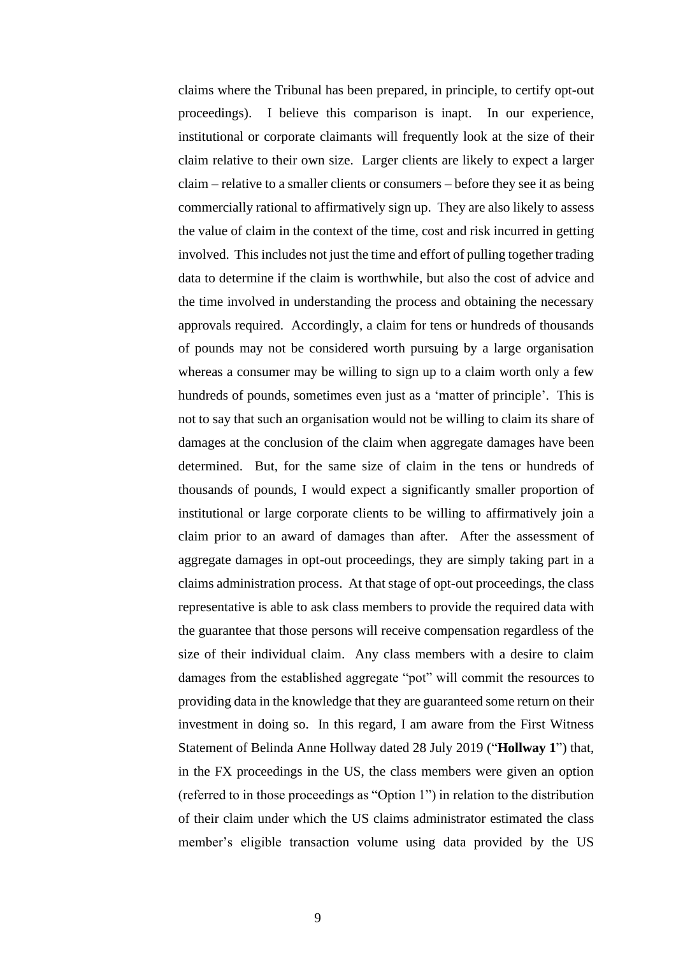claims where the Tribunal has been prepared, in principle, to certify opt-out proceedings). I believe this comparison is inapt. In our experience, institutional or corporate claimants will frequently look at the size of their claim relative to their own size. Larger clients are likely to expect a larger claim – relative to a smaller clients or consumers – before they see it as being commercially rational to affirmatively sign up. They are also likely to assess the value of claim in the context of the time, cost and risk incurred in getting involved. This includes not just the time and effort of pulling together trading data to determine if the claim is worthwhile, but also the cost of advice and the time involved in understanding the process and obtaining the necessary approvals required. Accordingly, a claim for tens or hundreds of thousands of pounds may not be considered worth pursuing by a large organisation whereas a consumer may be willing to sign up to a claim worth only a few hundreds of pounds, sometimes even just as a 'matter of principle'. This is not to say that such an organisation would not be willing to claim its share of damages at the conclusion of the claim when aggregate damages have been determined. But, for the same size of claim in the tens or hundreds of thousands of pounds, I would expect a significantly smaller proportion of institutional or large corporate clients to be willing to affirmatively join a claim prior to an award of damages than after. After the assessment of aggregate damages in opt-out proceedings, they are simply taking part in a claims administration process. At that stage of opt-out proceedings, the class representative is able to ask class members to provide the required data with the guarantee that those persons will receive compensation regardless of the size of their individual claim. Any class members with a desire to claim damages from the established aggregate "pot" will commit the resources to providing data in the knowledge that they are guaranteed some return on their investment in doing so. In this regard, I am aware from the First Witness Statement of Belinda Anne Hollway dated 28 July 2019 ("**Hollway 1**") that, in the FX proceedings in the US, the class members were given an option (referred to in those proceedings as "Option 1") in relation to the distribution of their claim under which the US claims administrator estimated the class member's eligible transaction volume using data provided by the US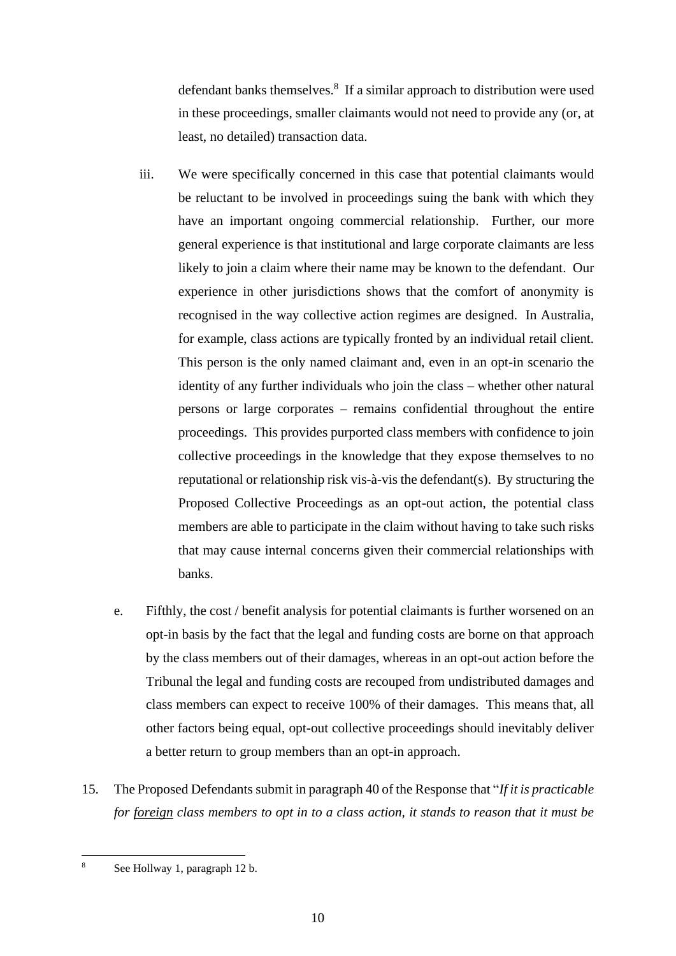defendant banks themselves.<sup>8</sup> If a similar approach to distribution were used in these proceedings, smaller claimants would not need to provide any (or, at least, no detailed) transaction data.

- iii. We were specifically concerned in this case that potential claimants would be reluctant to be involved in proceedings suing the bank with which they have an important ongoing commercial relationship. Further, our more general experience is that institutional and large corporate claimants are less likely to join a claim where their name may be known to the defendant. Our experience in other jurisdictions shows that the comfort of anonymity is recognised in the way collective action regimes are designed. In Australia, for example, class actions are typically fronted by an individual retail client. This person is the only named claimant and, even in an opt-in scenario the identity of any further individuals who join the class – whether other natural persons or large corporates – remains confidential throughout the entire proceedings. This provides purported class members with confidence to join collective proceedings in the knowledge that they expose themselves to no reputational or relationship risk vis-à-vis the defendant(s). By structuring the Proposed Collective Proceedings as an opt-out action, the potential class members are able to participate in the claim without having to take such risks that may cause internal concerns given their commercial relationships with banks.
- e. Fifthly, the cost / benefit analysis for potential claimants is further worsened on an opt-in basis by the fact that the legal and funding costs are borne on that approach by the class members out of their damages, whereas in an opt-out action before the Tribunal the legal and funding costs are recouped from undistributed damages and class members can expect to receive 100% of their damages. This means that, all other factors being equal, opt-out collective proceedings should inevitably deliver a better return to group members than an opt-in approach.
- 15. The Proposed Defendants submit in paragraph 40 of the Response that "*If it is practicable for foreign class members to opt in to a class action, it stands to reason that it must be*

<sup>8</sup> See Hollway 1, paragraph 12 b.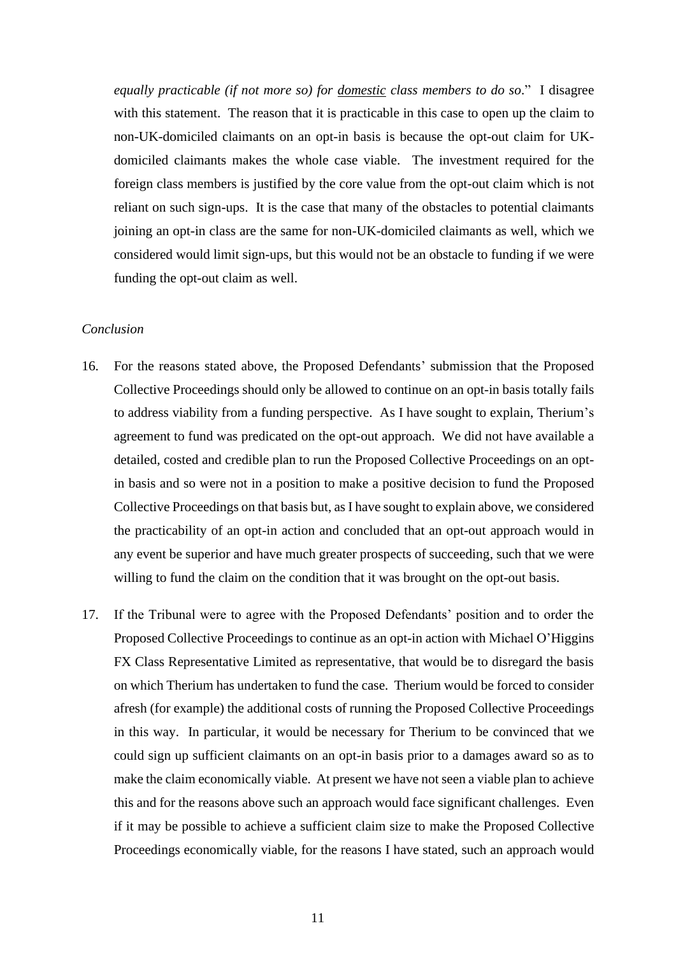*equally practicable (if not more so) for domestic class members to do so*."I disagree with this statement. The reason that it is practicable in this case to open up the claim to non-UK-domiciled claimants on an opt-in basis is because the opt-out claim for UKdomiciled claimants makes the whole case viable. The investment required for the foreign class members is justified by the core value from the opt-out claim which is not reliant on such sign-ups. It is the case that many of the obstacles to potential claimants joining an opt-in class are the same for non-UK-domiciled claimants as well, which we considered would limit sign-ups, but this would not be an obstacle to funding if we were funding the opt-out claim as well.

### *Conclusion*

- 16. For the reasons stated above, the Proposed Defendants' submission that the Proposed Collective Proceedings should only be allowed to continue on an opt-in basis totally fails to address viability from a funding perspective. As I have sought to explain, Therium's agreement to fund was predicated on the opt-out approach. We did not have available a detailed, costed and credible plan to run the Proposed Collective Proceedings on an optin basis and so were not in a position to make a positive decision to fund the Proposed Collective Proceedings on that basis but, as I have sought to explain above, we considered the practicability of an opt-in action and concluded that an opt-out approach would in any event be superior and have much greater prospects of succeeding, such that we were willing to fund the claim on the condition that it was brought on the opt-out basis.
- 17. If the Tribunal were to agree with the Proposed Defendants' position and to order the Proposed Collective Proceedings to continue as an opt-in action with Michael O'Higgins FX Class Representative Limited as representative, that would be to disregard the basis on which Therium has undertaken to fund the case. Therium would be forced to consider afresh (for example) the additional costs of running the Proposed Collective Proceedings in this way. In particular, it would be necessary for Therium to be convinced that we could sign up sufficient claimants on an opt-in basis prior to a damages award so as to make the claim economically viable. At present we have not seen a viable plan to achieve this and for the reasons above such an approach would face significant challenges. Even if it may be possible to achieve a sufficient claim size to make the Proposed Collective Proceedings economically viable, for the reasons I have stated, such an approach would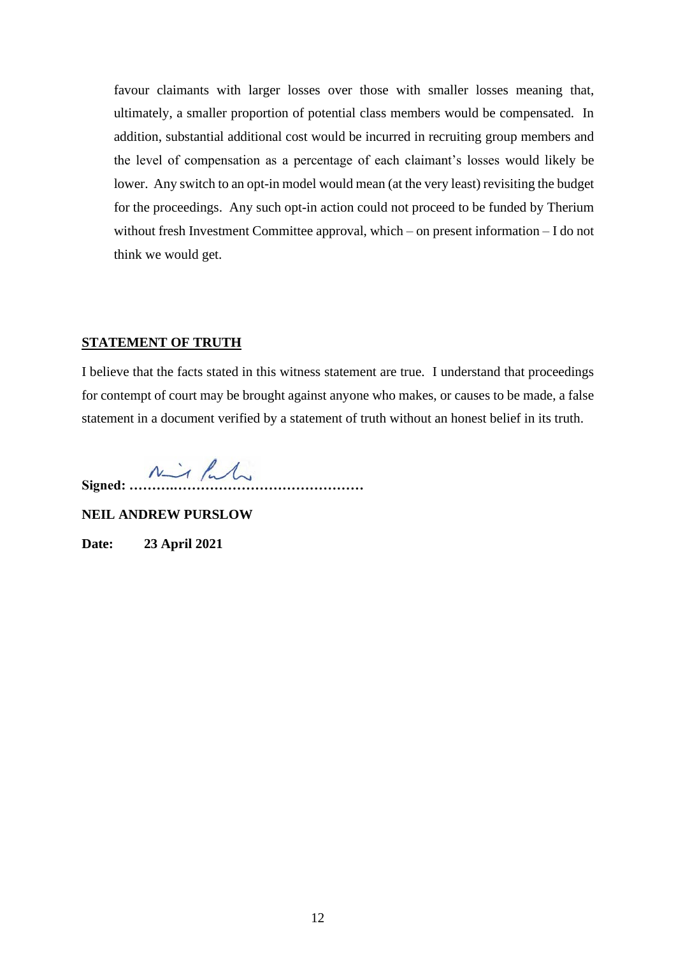favour claimants with larger losses over those with smaller losses meaning that, ultimately, a smaller proportion of potential class members would be compensated. In addition, substantial additional cost would be incurred in recruiting group members and the level of compensation as a percentage of each claimant's losses would likely be lower. Any switch to an opt-in model would mean (at the very least) revisiting the budget for the proceedings. Any such opt-in action could not proceed to be funded by Therium without fresh Investment Committee approval, which – on present information – I do not think we would get.

#### **STATEMENT OF TRUTH**

I believe that the facts stated in this witness statement are true. I understand that proceedings for contempt of court may be brought against anyone who makes, or causes to be made, a false statement in a document verified by a statement of truth without an honest belief in its truth.

Signed: <u>Mill</u>

**NEIL ANDREW PURSLOW**

**Date: 23 April 2021**